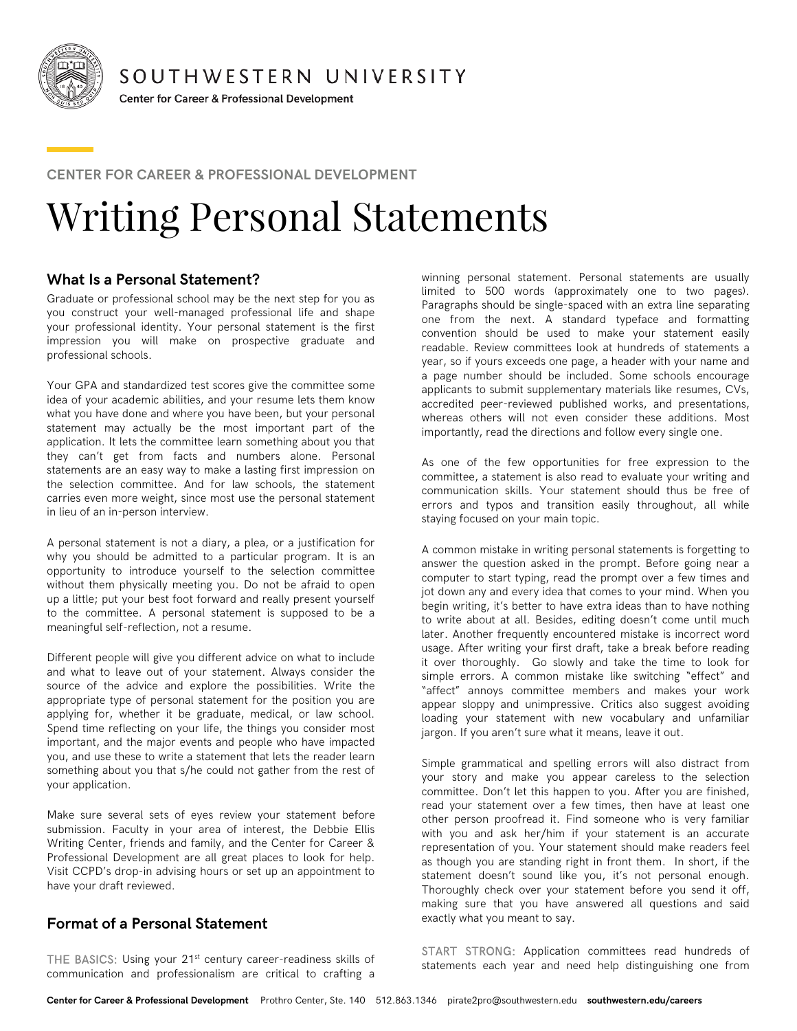

SOUTHWESTERN UNIVERSITY

Center for Career & Professional Development

#### **CENTER FOR CAREER & PROFESSIONAL DEVELOPMENT**

# Writing Personal Statements

# **What Is a Personal Statement?**

Graduate or professional school may be the next step for you as you construct your well-managed professional life and shape your professional identity. Your personal statement is the first impression you will make on prospective graduate and professional schools.

Your GPA and standardized test scores give the committee some idea of your academic abilities, and your resume lets them know what you have done and where you have been, but your personal statement may actually be the most important part of the application. It lets the committee learn something about you that they can't get from facts and numbers alone. Personal statements are an easy way to make a lasting first impression on the selection committee. And for law schools, the statement carries even more weight, since most use the personal statement in lieu of an in-person interview.

A personal statement is not a diary, a plea, or a justification for why you should be admitted to a particular program. It is an opportunity to introduce yourself to the selection committee without them physically meeting you. Do not be afraid to open up a little; put your best foot forward and really present yourself to the committee. A personal statement is supposed to be a meaningful self-reflection, not a resume.

Different people will give you different advice on what to include and what to leave out of your statement. Always consider the source of the advice and explore the possibilities. Write the appropriate type of personal statement for the position you are applying for, whether it be graduate, medical, or law school. Spend time reflecting on your life, the things you consider most important, and the major events and people who have impacted you, and use these to write a statement that lets the reader learn something about you that s/he could not gather from the rest of your application.

Make sure several sets of eyes review your statement before submission. Faculty in your area of interest, the Debbie Ellis Writing Center, friends and family, and the Center for Career & Professional Development are all great places to look for help. Visit CCPD's drop-in advising hours or set up an appointment to have your draft reviewed.

# **Format of a Personal Statement**

THE BASICS: Using your 21<sup>st</sup> century career-readiness skills of communication and professionalism are critical to crafting a

winning personal statement. Personal statements are usually limited to 500 words (approximately one to two pages). Paragraphs should be single-spaced with an extra line separating one from the next. A standard typeface and formatting convention should be used to make your statement easily readable. Review committees look at hundreds of statements a year, so if yours exceeds one page, a header with your name and a page number should be included. Some schools encourage applicants to submit supplementary materials like resumes, CVs, accredited peer-reviewed published works, and presentations, whereas others will not even consider these additions. Most importantly, read the directions and follow every single one.

As one of the few opportunities for free expression to the committee, a statement is also read to evaluate your writing and communication skills. Your statement should thus be free of errors and typos and transition easily throughout, all while staying focused on your main topic.

A common mistake in writing personal statements is forgetting to answer the question asked in the prompt. Before going near a computer to start typing, read the prompt over a few times and jot down any and every idea that comes to your mind. When you begin writing, it's better to have extra ideas than to have nothing to write about at all. Besides, editing doesn't come until much later. Another frequently encountered mistake is incorrect word usage. After writing your first draft, take a break before reading it over thoroughly. Go slowly and take the time to look for simple errors. A common mistake like switching "effect" and "affect" annoys committee members and makes your work appear sloppy and unimpressive. Critics also suggest avoiding loading your statement with new vocabulary and unfamiliar jargon. If you aren't sure what it means, leave it out.

Simple grammatical and spelling errors will also distract from your story and make you appear careless to the selection committee. Don't let this happen to you. After you are finished, read your statement over a few times, then have at least one other person proofread it. Find someone who is very familiar with you and ask her/him if your statement is an accurate representation of you. Your statement should make readers feel as though you are standing right in front them. In short, if the statement doesn't sound like you, it's not personal enough. Thoroughly check over your statement before you send it off, making sure that you have answered all questions and said exactly what you meant to say.

START STRONG: Application committees read hundreds of statements each year and need help distinguishing one from